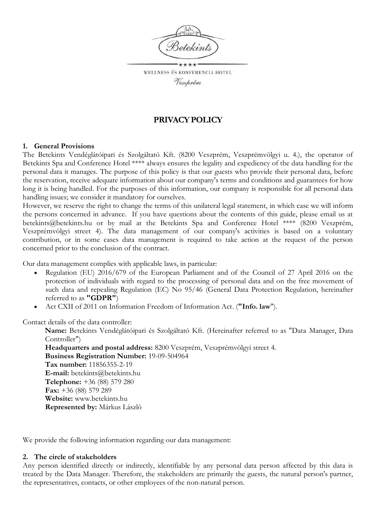

WELLNESS ÉS KONFERENCIA HOTEL Veszprém

# **PRIVACYPOLICY**

## **1. General Provisions**

The Betekints Vendéglátóipari és Szolgáltató Kft. (8200 Veszprém, Veszprémvölgyi u. 4.), the operator of Betekints Spa and Conference Hotel \*\*\*\* always ensures the legality and expediency of the data handling for the personal data it manages. The purpose of this policy is that our guests who provide their personal data, before the reservation, receive adequate information about our company's terms and conditions and guarantees for how long it is being handled. For the purposes of this information, our company is responsible for all personal data handling issues; we consider it mandatory for ourselves.

However, we reserve the right to change the terms of this unilateral legal statement, in which case we will inform the persons concerned in advance. If you have questions about the contents of this guide, please email us at betekints@betekints.hu or by mail at the Betekints Spa and Conference Hotel \*\*\*\* (8200 Veszprém, Veszprémvölgyi street 4). The data management of our company's activities is based on a voluntary contribution, or in some cases data management is required to take action at the request of the person concerned prior to the conclusion of the contract.

Our data management complies with applicable laws, in particular:

- Regulation (EU) 2016/679 of the European Parliament and of the Council of 27 April 2016 on the protection of individuals with regard to the processing of personal data and on the free movement of such data and repealing Regulation (EC) No 95/46 (General Data Protection Regulation, hereinafter referred to as **"GDPR"**)
- Act CXII of 2011 on Information Freedom of Information Act. (**"Info. law**").

Contact details of the data controller:

**Name:** Betekints Vendéglátóipari és Szolgáltató Kft. (Hereinafter referred to as "Data Manager, Data Controller")

**Headquarters and postal address:** 8200 Veszprém, Veszprémvölgyi street 4. **Business Registration Number:** 19-09-504964 **Tax number:** 11856355-2-19 **E-mail:** betekints@betekints.hu **Telephone:** +36 (88) 579 280 **Fax:** +36 (88) 579 289 **Website:** www.betekints.hu **Represented by:** Márkus László

We provide the following information regarding our data management:

#### **2. The circle of stakeholders**

Any person identified directly or indirectly, identifiable by any personal data person affected by this data is treated by the Data Manager. Therefore, the stakeholders are primarily the guests, the natural person's partner, the representatives, contacts, or other employees of the non-natural person.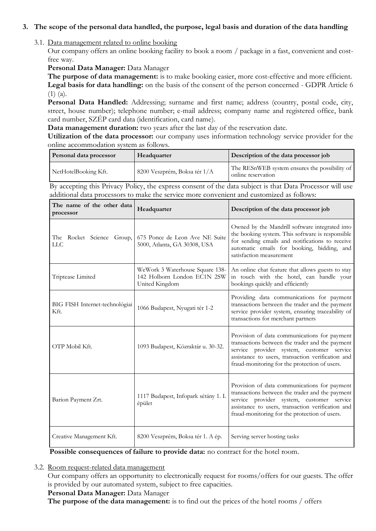## **3. The scope of the personal data handled, the purpose, legal basis and duration of the data handling**

## 3.1. Data management related to online booking

Our company offers an online booking facility to book a room / package in a fast, convenient and costfree way.

## **Personal Data Manager:** Data Manager

**The purpose of data management:** is to make booking easier, more cost-effective and more efficient. **Legal basis for data handling:** on the basis of the consent of the person concerned - GDPR Article 6  $(1)$   $(a)$ .

Personal Data Handled: Addressing; surname and first name; address (country, postal code, city, street, house number); telephone number; e-mail address; company name and registered office, bank card number, SZÉP card data (identification, card name).

**Data management duration:** two years after the last day of the reservation date.

**Utilization of the data processor:** our company uses information technology service provider for the online accommodation system as follows.

| Personal data processor | Headquarter                  | Description of the data processor job                               |
|-------------------------|------------------------------|---------------------------------------------------------------------|
| NetHotelBooking Kft.    | 8200 Veszprém, Boksa tér 1/A | The RESnWEB system ensures the possibility of<br>online reservation |

By accepting this Privacy Policy, the express consent of the data subject is that Data Processor will use additional data processors to make the service more convenient and customized as follows:

| The name of the other data<br>processor | Headquarter                                                                      | Description of the data processor job                                                                                                                                                                                                              |  |
|-----------------------------------------|----------------------------------------------------------------------------------|----------------------------------------------------------------------------------------------------------------------------------------------------------------------------------------------------------------------------------------------------|--|
| The Rocket Science Group,<br>LLC        | 675 Ponce de Leon Ave NE Suite<br>5000, Atlanta, GA 30308, USA                   | Owned by the Mandrill software integrated into<br>the booking system. This software is responsible<br>for sending emails and notifications to receive<br>automatic emails for booking, bidding, and<br>satisfaction measurement                    |  |
| Triptease Limited                       | WeWork 3 Waterhouse Square 138-<br>142 Holborn London EC1N 2SW<br>United Kingdom | An online chat feature that allows guests to stay<br>in touch with the hotel, can handle your<br>bookings quickly and efficiently                                                                                                                  |  |
| BIG FISH Internet-technológiai<br>Kft.  | 1066 Budapest, Nyugati tér 1-2                                                   | Providing data communications for payment<br>transactions between the trader and the payment<br>service provider system, ensuring traceability of<br>transactions for merchant partners                                                            |  |
| OTP Mobil Kft.                          | 1093 Budapest, Közraktár u. 30-32.                                               | Provision of data communications for payment<br>transactions between the trader and the payment<br>service provider system, customer service<br>assistance to users, transaction verification and<br>fraud-monitoring for the protection of users. |  |
| Barion Payment Zrt.                     | 1117 Budapest, Infopark sétány 1. I.<br>épület                                   | Provision of data communications for payment<br>transactions between the trader and the payment<br>service provider system, customer service<br>assistance to users, transaction verification and<br>fraud-monitoring for the protection of users. |  |
| Creative Management Kft.                | 8200 Veszprém, Boksa tér 1. A ép.                                                | Serving server hosting tasks                                                                                                                                                                                                                       |  |

**Possible consequences of failure to provide data:** no contract for the hotel room.

## 3.2. Room request-related data management

Our company offers an opportunity to electronically request for rooms/offers for our guests. The offer is provided by our automated system, subject to free capacities.

**Personal Data Manager:** Data Manager

**The purpose of the data management:** is to find out the prices of the hotel rooms / offers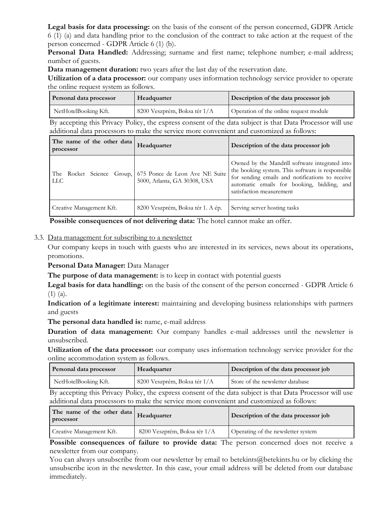**Legal basis for data processing:** on the basis of the consent of the person concerned, GDPR Article 6 (1) (a) and data handling prior to the conclusion of the contract to take action at the request of the person concerned - GDPR Article 6 (1) (b).

Personal Data Handled: Addressing; surname and first name; telephone number; e-mail address; number of guests.

**Data management duration:** two years after the last day of the reservation date.

**Utilization of a data processor:** our company uses information technology service provider to operate the online request system as follows.

| Personal data processor | Headquarter                  | Description of the data processor job  |
|-------------------------|------------------------------|----------------------------------------|
| NetHotelBooking Kft.    | 8200 Veszprém, Boksa tér 1/A | Operation of the online request module |

By accepting this Privacy Policy, the express consent of the data subject is that Data Processor will use additional data processors to make the service more convenient and customized as follows:

| The name of the other data<br>processor | Headquarter                                                                              | Description of the data processor job                                                                                                                                                                                           |
|-----------------------------------------|------------------------------------------------------------------------------------------|---------------------------------------------------------------------------------------------------------------------------------------------------------------------------------------------------------------------------------|
| <b>LLC</b>                              | The Rocket Science Group, 675 Ponce de Leon Ave NE Suite<br>5000, Atlanta, GA 30308, USA | Owned by the Mandrill software integrated into<br>the booking system. This software is responsible<br>for sending emails and notifications to receive<br>automatic emails for booking, bidding, and<br>satisfaction measurement |
| Creative Management Kft.                | 8200 Veszprém, Boksa tér 1. A ép.                                                        | Serving server hosting tasks                                                                                                                                                                                                    |

**Possible consequences of not delivering data:** The hotel cannot make an offer.

## 3.3. Data management for subscribing to a newsletter

Our company keeps in touch with guests who are interested in its services, news about its operations, promotions.

## **Personal Data Manager:** Data Manager

**The purpose of data management:** is to keep in contact with potential guests

**Legal basis for data handling:** on the basis of the consent of the person concerned - GDPR Article 6 (1) (a).

**Indication of a legitimate interest:** maintaining and developing business relationships with partners and guests

**The personal data handled is:** name, e-mail address

**Duration of data management:** Our company handles e-mail addresses until the newsletter is unsubscribed.

**Utilization of the data processor:** our company uses information technology service provider for the online accommodation system as follows.

| Personal data processor | Headquarter                   | Description of the data processor job |
|-------------------------|-------------------------------|---------------------------------------|
| NetHotelBooking Kft.    | 18200 Veszprém, Boksa tér 1/A | Store of the newsletter database      |

By accepting this Privacy Policy, the express consent of the data subject is that Data Processor will use additional data processors to make the service more convenient and customized as follows:

| The name of the other data   Headquarter<br>processor |                              | Description of the data processor job |
|-------------------------------------------------------|------------------------------|---------------------------------------|
| Creative Management Kft.                              | 8200 Veszprém, Boksa tér 1/A | Operating of the newsletter system    |

**Possible consequences of failure to provide data:** The person concerned does not receive a newsletter from our company.

You can always unsubscribe from our newsletter by email to betekints@betekints.hu or by clicking the unsubscribe icon in the newsletter. In this case, your email address will be deleted from our database immediately.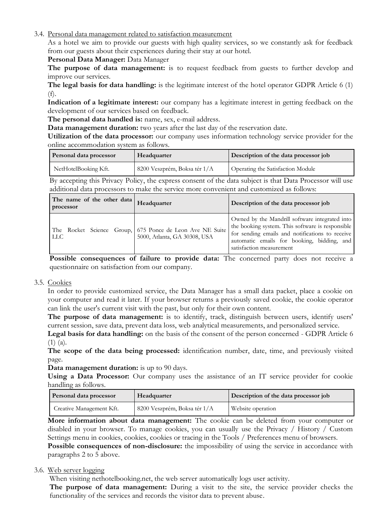3.4. Personal data management related to satisfaction measurement

As a hotel we aim to provide our guests with high quality services, so we constantly ask for feedback from our guests about their experiences during their stay at our hotel.

## **Personal Data Manager:** Data Manager

**The purpose of data management:** is to request feedback from guests to further develop and improve our services.

**The legal basis for data handling:** is the legitimate interest of the hotel operator GDPR Article 6 (1) (f).

**Indication of a legitimate interest:** our company has a legitimate interest in getting feedback on the development of our services based on feedback.

**The personal data handled is:** name, sex, e-mail address.

**Data management duration:** two years after the last day of the reservation date.

**Utilization of the data processor:** our company uses information technology service provider for the online accommodation system as follows.

| Personal data processor | Headquarter                  | Description of the data processor job |
|-------------------------|------------------------------|---------------------------------------|
| NetHotelBooking Kft.    | 8200 Veszprém, Boksa tér 1/A | Operating the Satisfaction Module     |

By accepting this Privacy Policy, the express consent of the data subject is that Data Processor will use additional data processors to make the service more convenient and customized as follows:

| The name of the other data<br>processor | Headquarter                                                                              | Description of the data processor job                                                                                                                                                                                           |
|-----------------------------------------|------------------------------------------------------------------------------------------|---------------------------------------------------------------------------------------------------------------------------------------------------------------------------------------------------------------------------------|
| <b>LLC</b>                              | The Rocket Science Group, 675 Ponce de Leon Ave NE Suite<br>5000, Atlanta, GA 30308, USA | Owned by the Mandrill software integrated into<br>the booking system. This software is responsible<br>for sending emails and notifications to receive<br>automatic emails for booking, bidding, and<br>satisfaction measurement |

**Possible consequences of failure to provide data:** The concerned party does not receive a questionnaire on satisfaction from our company.

## 3.5. Cookies

In order to provide customized service, the Data Manager has a small data packet, place a cookie on your computer and read it later. If your browser returns a previously saved cookie, the cookie operator can link the user's current visit with the past, but only for their own content.

**The purpose of data management:** is to identify, track, distinguish between users, identify users' current session, save data, prevent data loss, web analytical measurements, and personalized service.

**Legal basis for data handling:** on the basis of the consent of the person concerned - GDPR Article 6 (1) (a).

**The scope of the data being processed:** identification number, date, time, and previously visited page.

**Data management duration:** is up to 90 days.

Using a Data Processor: Our company uses the assistance of an IT service provider for cookie handling as follows.

| Personal data processor  | Headquarter                  | Description of the data processor job |
|--------------------------|------------------------------|---------------------------------------|
| Creative Management Kft. | 8200 Veszprém, Boksa tér 1/A | Website operation                     |

**More information about data management:** The cookie can be deleted from your computer or disabled in your browser. To manage cookies, you can usually use the Privacy / History / Custom Settings menu in cookies, cookies, cookies or tracing in the Tools / Preferences menu of browsers.

**Possible consequences of non-disclosure:** the impossibility of using the service in accordance with paragraphs 2 to 5 above.

## 3.6. Web server logging

When visiting nethotelbooking.net, the web server automatically logs user activity.

**The purpose of data management:** During a visit to the site, the service provider checks the functionality of the services and records the visitor data to prevent abuse.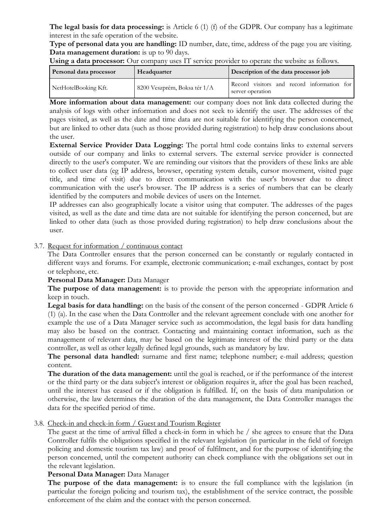**The legal basis for data processing:** is Article 6 (1) (f) of the GDPR. Our company has a legitimate interest in the safe operation of the website.

**Type of personal data you are handling:** ID number, date, time, address of the page you are visiting. **Data management duration:** is up to 90 days.

| Using a data processor: Our company uses IT service provider to operate the website as follows. |  |  |
|-------------------------------------------------------------------------------------------------|--|--|
|-------------------------------------------------------------------------------------------------|--|--|

| <b>Personal data processor</b> | Headquarter                  | Description of the data processor job                          |
|--------------------------------|------------------------------|----------------------------------------------------------------|
| NetHotelBooking Kft.           | 8200 Veszprém, Boksa tér 1/A | Record visitors and record information for<br>server operation |

**More information about data management:** our company does not link data collected during the analysis of logs with other information and does not seek to identify the user. The addresses of the pages visited, as well as the date and time data are not suitable for identifying the person concerned, but are linked to other data (such as those provided during registration) to help draw conclusions about the user.

**External Service Provider Data Logging:** The portal html code contains links to external servers outside of our company and links to external servers. The external service provider is connected directly to the user's computer. We are reminding our visitors that the providers of these links are able to collect user data (eg IP address, browser, operating system details, cursor movement, visited page title, and time of visit) due to direct communication with the user's browser due to direct communication with the user's browser. The IP address is a series of numbers that can be clearly identified by the computers and mobile devices of users on the Internet.

IP addresses can also geographically locate a visitor using that computer. The addresses of the pages visited, as well as the date and time data are not suitable for identifying the person concerned, but are linked to other data (such as those provided during registration) to help draw conclusions about the user.

## 3.7. Request for information / continuous contact

The Data Controller ensures that the person concerned can be constantly or regularly contacted in different ways and forums. For example, electronic communication; e-mail exchanges, contact by post or telephone, etc.

#### **Personal Data Manager:** Data Manager

**The purpose of data management:** is to provide the person with the appropriate information and keep in touch.

**Legal basis for data handling:** on the basis of the consent of the person concerned - GDPR Article 6 (1) (a). In the case when the Data Controller and the relevant agreement conclude with one another for example the use of a Data Manager service such as accommodation, the legal basis for data handling may also be based on the contract. Contacting and maintaining contact information, such as the management of relevant data, may be based on the legitimate interest of the third party or the data controller, as well as other legally defined legal grounds, such as mandatory by law.

**The personal data handled:** surname and first name; telephone number; e-mail address; question content.

**The duration of the data management:** until the goal is reached, or if the performance of the interest or the third party or the data subject's interest or obligation requires it, after the goal has been reached, until the interest has ceased or if the obligation is fulfilled. If, on the basis of data manipulation or otherwise, the law determines the duration of the data management, the Data Controller manages the data for the specified period of time.

## 3.8. Check-in and check-in form / Guest and Tourism Register

The guest at the time of arrival filled a check-in form in which he / she agrees to ensure that the Data Controller fulfils the obligations specified in the relevant legislation (in particular in the field of foreign policing and domestic tourism tax law) and proof of fulfilment, and for the purpose of identifying the person concerned, until the competent authority can check compliance with the obligations set out in the relevant legislation.

#### **Personal Data Manager:** Data Manager

**The purpose of the data management:** is to ensure the full compliance with the legislation (in particular the foreign policing and tourism tax), the establishment of the service contract, the possible enforcement of the claim and the contact with the person concerned.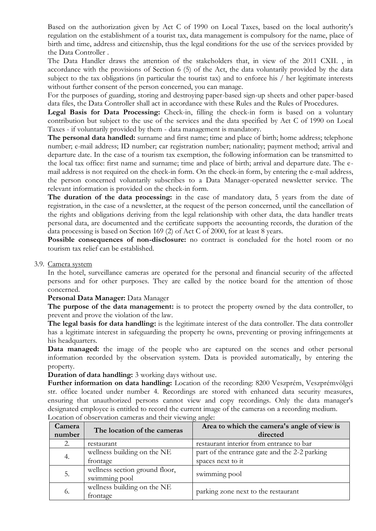Based on the authorization given by Act C of 1990 on Local Taxes, based on the local authority's regulation on the establishment of a tourist tax, data management is compulsory for the name, place of birth and time, address and citizenship, thus the legal conditions for the use of the services provided by the Data Controller .

The Data Handler draws the attention of the stakeholders that, in view of the 2011 CXII. , in accordance with the provisions of Section 6 (5) of the Act, the data voluntarily provided by the data subject to the tax obligations (in particular the tourist tax) and to enforce his / her legitimate interests without further consent of the person concerned, you can manage.

For the purposes of guarding, storing and destroying paper-based sign-up sheets and other paper-based data files, the Data Controller shall act in accordance with these Rules and the Rules of Procedures.

Legal Basis for Data Processing: Check-in, filling the check-in form is based on a voluntary contribution but subject to the use of the services and the data specified by Act C of 1990 on Local Taxes - if voluntarily provided by them - data management is mandatory.

**The personal data handled:** surname and first name; time and place of birth; home address; telephone number; e-mail address; ID number; car registration number; nationality; payment method; arrival and departure date. In the case of a tourism tax exemption, the following information can be transmitted to the local tax office: first name and surname; time and place of birth; arrival and departure date. The email address is not required on the check-in form. On the check-in form, by entering the e-mail address, the person concerned voluntarily subscribes to a Data Manager-operated newsletter service. The relevant information is provided on the check-in form.

The duration of the data processing: in the case of mandatory data, 5 years from the date of registration, in the case of a newsletter, at the request of the person concerned, until the cancellation of the rights and obligations deriving from the legal relationship with other data, the data handler treats personal data, are documented and the certificate supports the accounting records, the duration of the data processing is based on Section 169 (2) of Act C of 2000, for at least 8 years.

Possible consequences of non-disclosure: no contract is concluded for the hotel room or no tourism tax relief can be established.

#### 3.9. Camera system

In the hotel, surveillance cameras are operated for the personal and financial security of the affected persons and for other purposes. They are called by the notice board for the attention of those concerned.

#### **Personal Data Manager:** Data Manager

**The purpose of the data management:** is to protect the property owned by the data controller, to prevent and prove the violation of the law.

**The legal basis for data handling:** is the legitimate interest of the data controller. The data controller has a legitimate interest in safeguarding the property he owns, preventing or proving infringements at his headquarters.

Data managed: the image of the people who are captured on the scenes and other personal information recorded by the observation system. Data is provided automatically, by entering the property.

**Duration of data handling:** 3 working days without use.

**Further information on data handling:** Location of the recording: 8200 Veszprém, Veszprémvölgyi str. office located under number 4. Recordings are stored with enhanced data security measures, ensuring that unauthorized persons cannot view and copy recordings. Only the data manager's designated employee is entitled to record the current image of the cameras on a recording medium. Location of observation cameras and their viewing angle:

| Camera<br>number | The location of the cameras                     | Area to which the camera's angle of view is<br>directed            |
|------------------|-------------------------------------------------|--------------------------------------------------------------------|
| 2.               | restaurant                                      | restaurant interior from entrance to bar                           |
| 4.               | wellness building on the NE<br>frontage         | part of the entrance gate and the 2-2 parking<br>spaces next to it |
| 5.               | wellness section ground floor,<br>swimming pool | swimming pool                                                      |
| 6.               | wellness building on the NE<br>frontage         | parking zone next to the restaurant                                |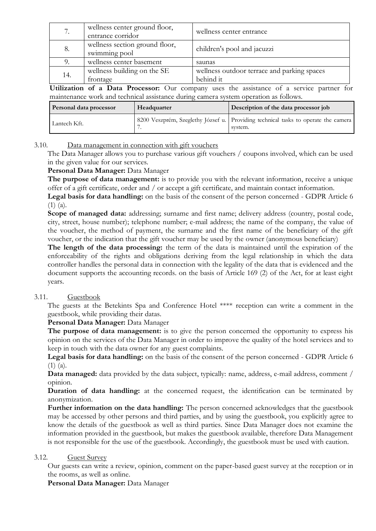| 7.  | wellness center ground floor,<br>entrance corridor | wellness center entrance                    |
|-----|----------------------------------------------------|---------------------------------------------|
| 8.  | wellness section ground floor,<br>swimming pool    | children's pool and jacuzzi                 |
|     | wellness center basement                           | saunas                                      |
| 14. | wellness building on the SE                        | wellness outdoor terrace and parking spaces |
|     | frontage                                           | behind it                                   |

**Utilization of a Data Processor:** Our company uses the assistance of a service partner for maintenance work and technical assistance during camera system operation as follows.

| Personal data processor | Headquarter | Description of the data processor job                                                         |
|-------------------------|-------------|-----------------------------------------------------------------------------------------------|
| Lantech Kft.            |             | 8200 Veszprém, Szeglethy József u. Providing technical tasks to operate the camera<br>system. |

## 3.10. Data management in connection with gift vouchers

The Data Manager allows you to purchase various gift vouchers / coupons involved, which can be used in the given value for our services.

#### **Personal Data Manager:** Data Manager

**The purpose of data management:** is to provide you with the relevant information, receive a unique offer of a gift certificate, order and / or accept a gift certificate, and maintain contact information.

**Legal basis for data handling:** on the basis of the consent of the person concerned - GDPR Article 6  $(1)$   $(a)$ .

**Scope of managed data:** addressing; surname and first name; delivery address (country, postal code, city, street, house number); telephone number; e-mail address; the name of the company, the value of the voucher, the method of payment, the surname and the first name of the beneficiary of the gift voucher, or the indication that the gift voucher may be used by the owner (anonymous beneficiary)

**The length of the data processing:** the term of the data is maintained until the expiration of the enforceability of the rights and obligations deriving from the legal relationship in which the data controller handles the personal data in connection with the legality of the data that is evidenced and the document supports the accounting records. on the basis of Article 169 (2) of the Act, for at least eight years.

## 3.11. Guestbook

The guests at the Betekints Spa and Conference Hotel \*\*\*\* reception can write a comment in the guestbook, while providing their datas.

## **Personal Data Manager:** Data Manager

**The purpose of data management:** is to give the person concerned the opportunity to express his opinion on the services of the Data Manager in order to improve the quality of the hotel services and to keep in touch with the data owner for any guest complaints.

**Legal basis for data handling:** on the basis of the consent of the person concerned - GDPR Article 6 (1) (a).

**Data managed:** data provided by the data subject, typically: name, address, e-mail address, comment / opinion.

**Duration of data handling:** at the concerned request, the identification can be terminated by anonymization.

**Further information on the data handling:** The person concerned acknowledges that the guestbook may be accessed by other persons and third parties, and by using the guestbook, you explicitly agree to know the details of the guestbook as well as third parties. Since Data Manager does not examine the information provided in the guestbook, but makes the guestbook available, therefore Data Management is not responsible for the use of the guestbook. Accordingly, the guestbook must be used with caution.

#### 3.12. Guest Survey

Our guests can write a review, opinion, comment on the paper-based guest survey at the reception or in the rooms, as well as online.

**Personal Data Manager:** Data Manager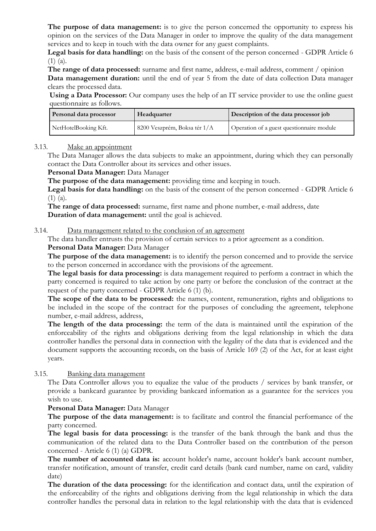**The purpose of data management:** is to give the person concerned the opportunity to express his opinion on the services of the Data Manager in order to improve the quality of the data management services and to keep in touch with the data owner for any guest complaints.

**Legal basis for data handling:** on the basis of the consent of the person concerned - GDPR Article 6 (1) (a).

**The range of data processed:** surname and first name, address, e-mail address, comment / opinion **Data management duration:** until the end of year 5 from the date of data collection Data manager clears the processed data.

Using a Data Processor: Our company uses the help of an IT service provider to use the online guest questionnaire as follows.

| Personal data processor | Headquarter                  | Description of the data processor job     |
|-------------------------|------------------------------|-------------------------------------------|
| NetHotelBooking Kft.    | 8200 Veszprém, Boksa tér 1/A | Operation of a guest questionnaire module |

## 3.13. Make an appointment

The Data Manager allows the data subjects to make an appointment, during which they can personally contact the Data Controller about its services and other issues.

## **Personal Data Manager:** Data Manager

**The purpose of the data management:** providing time and keeping in touch.

**Legal basis for data handling:** on the basis of the consent of the person concerned - GDPR Article 6  $(1)$   $(a)$ .

**The range of data processed:** surname, first name and phone number, e-mail address, date **Duration of data management:** until the goal is achieved.

## 3.14. Data management related to the conclusion of an agreement

The data handler entrusts the provision of certain services to a prior agreement as a condition.

## **Personal Data Manager:** Data Manager

**The purpose of the data management:** is to identify the person concerned and to provide the service to the person concerned in accordance with the provisions of the agreement.

**The legal basis for data processing:** is data management required to perform a contract in which the party concerned is required to take action by one party or before the conclusion of the contract at the request of the party concerned - GDPR Article 6 (1) (b).

**The scope of the data to be processed:** the names, content, remuneration, rights and obligations to be included in the scope of the contract for the purposes of concluding the agreement, telephone number, e-mail address, address,

**The length of the data processing:** the term of the data is maintained until the expiration of the enforceability of the rights and obligations deriving from the legal relationship in which the data controller handles the personal data in connection with the legality of the data that is evidenced and the document supports the accounting records, on the basis of Article 169 (2) of the Act, for at least eight years.

## 3.15. Banking data management

The Data Controller allows you to equalize the value of the products / services by bank transfer, or provide a bankcard guarantee by providing bankcard information as a guarantee for the services you wish to use.

## **Personal Data Manager:** Data Manager

**The purpose of the data management:** is to facilitate and control the financial performance of the party concerned.

**The legal basis for data processing:** is the transfer of the bank through the bank and thus the communication of the related data to the Data Controller based on the contribution of the person concerned - Article 6 (1) (a) GDPR.

**The number of accounted data is:** account holder's name, account holder's bank account number, transfer notification, amount of transfer, credit card details (bank card number, name on card, validity date)

**The duration of the data processing:** for the identification and contact data, until the expiration of the enforceability of the rights and obligations deriving from the legal relationship in which the data controller handles the personal data in relation to the legal relationship with the data that is evidenced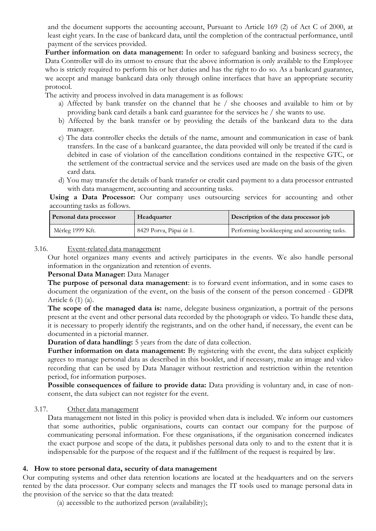and the document supports the accounting account, Pursuant to Article 169 (2) of Act C of 2000, at least eight years. In the case of bankcard data, until the completion of the contractual performance, until payment of the services provided.

**Further information on data management:** In order to safeguard banking and business secrecy, the Data Controller will do its utmost to ensure that the above information is only available to the Employee who is strictly required to perform his or her duties and has the right to do so. As a bankcard guarantee, we accept and manage bankcard data only through online interfaces that have an appropriate security protocol.

The activity and process involved in data management is as follows:

- a) Affected by bank transfer on the channel that he / she chooses and available to him or by providing bank card details a bank card guarantee for the services he / she wants to use.
- b) Affected by the bank transfer or by providing the details of the bankcard data to the data manager.
- c) The data controller checks the details of the name, amount and communication in case of bank transfers. In the case of a bankcard guarantee, the data provided will only be treated if the card is debited in case of violation of the cancellation conditions contained in the respective GTC, or the settlement of the contractual service and the services used are made on the basis of the given card data.
- d) You may transfer the details of bank transfer or credit card payment to a data processor entrusted with data management, accounting and accounting tasks.

**Using a Data Processor:** Our company uses outsourcing services for accounting and other accounting tasks as follows.

| Personal data processor | Headquarter             | Description of the data processor job        |
|-------------------------|-------------------------|----------------------------------------------|
| Mérleg 1999 Kft.        | 8429 Porva, Pápai út 1. | Performing bookkeeping and accounting tasks. |

## 3.16. Event-related data management

Our hotel organizes many events and actively participates in the events. We also handle personal information in the organization and retention of events.

## **Personal Data Manager:** Data Manager

**The purpose of personal data management**: is to forward event information, and in some cases to document the organization of the event, on the basis of the consent of the person concerned - GDPR Article 6 (1) (a).

The scope of the managed data is: name, delegate business organization, a portrait of the persons present at the event and other personal data recorded by the photograph or video. To handle these data, it is necessary to properly identify the registrants, and on the other hand, if necessary, the event can be documented in a pictorial manner.

**Duration of data handling:** 5 years from the date of data collection.

Further information on data management: By registering with the event, the data subject explicitly agrees to manage personal data as described in this booklet, and if necessary, make an image and video recording that can be used by Data Manager without restriction and restriction within the retention period, for information purposes.

**Possible consequences of failure to provide data:** Data providing is voluntary and, in case of nonconsent, the data subject can not register for the event.

## 3.17. Other data management

Data management not listed in this policy is provided when data is included. We inform our customers that some authorities, public organisations, courts can contact our company for the purpose of communicating personal information. For these organisations, if the organisation concerned indicates the exact purpose and scope of the data, it publishes personal data only to and to the extent that it is indispensable for the purpose of the request and if the fulfilment of the request is required by law.

## **4. How to store personal data, security of data management**

Our computing systems and other data retention locations are located at the headquarters and on the servers rented by the data processor. Our company selects and manages the IT tools used to manage personal data in the provision of the service so that the data treated:

(a) accessible to the authorized person (availability);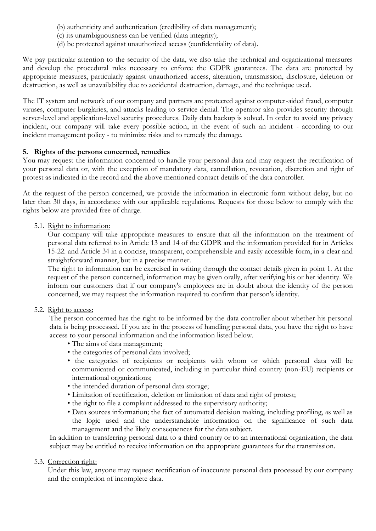- (b) authenticity and authentication (credibility of data management);
- (c) its unambiguousness can be verified (data integrity);
- (d) be protected against unauthorized access (confidentiality of data).

We pay particular attention to the security of the data, we also take the technical and organizational measures and develop the procedural rules necessary to enforce the GDPR guarantees. The data are protected by appropriate measures, particularly against unauthorized access, alteration, transmission, disclosure, deletion or destruction, as well as unavailability due to accidental destruction, damage, and the technique used.

The IT system and network of our company and partners are protected against computer-aided fraud, computer viruses, computer burglaries, and attacks leading to service denial. The operator also provides security through server-level and application-level security procedures. Daily data backup is solved. In order to avoid any privacy incident, our company will take every possible action, in the event of such an incident - according to our incident management policy - to minimize risks and to remedy the damage.

## **5. Rights of the persons concerned, remedies**

You may request the information concerned to handle your personal data and may request the rectification of your personal data or, with the exception of mandatory data, cancellation, revocation, discretion and right of protest as indicated in the record and the above mentioned contact details of the data controller.

At the request of the person concerned, we provide the information in electronic form without delay, but no later than 30 days, in accordance with our applicable regulations. Requests for those below to comply with the rights below are provided free of charge.

#### 5.1. Right to information:

Our company will take appropriate measures to ensure that all the information on the treatment of personal data referred to in Article 13 and 14 of the GDPR and the information provided for in Articles 15-22. and Article 34 in a concise, transparent, comprehensible and easily accessible form, in a clear and straightforward manner, but in a precise manner.

The right to information can be exercised in writing through the contact details given in point 1. At the request of the person concerned, information may be given orally, after verifying his or her identity. We inform our customers that if our company's employees are in doubt about the identity of the person concerned, we may request the information required to confirm that person's identity.

## 5.2. Right to access:

The person concerned has the right to be informed by the data controller about whether his personal data is being processed. If you are in the process of handling personal data, you have the right to have access to your personal information and the information listed below.

- The aims of data management;
- the categories of personal data involved;
- the categories of recipients or recipients with whom or which personal data will be communicated or communicated, including in particular third country (non-EU) recipients or international organizations;
- the intended duration of personal data storage;
- Limitation of rectification, deletion or limitation of data and right of protest;
- the right to file a complaint addressed to the supervisory authority;
- Data sources information; the fact of automated decision making, including profiling, as well as the logic used and the understandable information on the significance of such data management and the likely consequences for the data subject.

In addition to transferring personal data to a third country or to an international organization, the data subject may be entitled to receive information on the appropriate guarantees for the transmission.

## 5.3. Correction right:

Under this law, anyone may request rectification of inaccurate personal data processed by our company and the completion of incomplete data.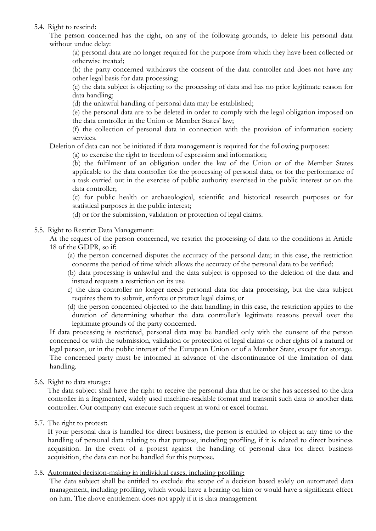## 5.4. Right to rescind:

The person concerned has the right, on any of the following grounds, to delete his personal data without undue delay:

(a) personal data are no longer required for the purpose from which they have been collected or otherwise treated;

(b) the party concerned withdraws the consent of the data controller and does not have any other legal basis for data processing;

(c) the data subject is objecting to the processing of data and has no prior legitimate reason for data handling;

(d) the unlawful handling of personal data may be established;

(e) the personal data are to be deleted in order to comply with the legal obligation imposed on the data controller in the Union or Member States' law;

(f) the collection of personal data in connection with the provision of information society services.

Deletion of data can not be initiated if data management is required for the following purposes:

(a) to exercise the right to freedom of expression and information;

(b) the fulfilment of an obligation under the law of the Union or of the Member States applicable to the data controller for the processing of personal data, or for the performance of a task carried out in the exercise of public authority exercised in the public interest or on the data controller;

(c) for public health or archaeological, scientific and historical research purposes or for statistical purposes in the public interest;

(d) or for the submission, validation or protection of legal claims.

## 5.5. Right to Restrict Data Management:

At the request of the person concerned, we restrict the processing of data to the conditions in Article 18 of the GDPR, so if:

- (a) the person concerned disputes the accuracy of the personal data; in this case, the restriction concerns the period of time which allows the accuracy of the personal data to be verified;
- (b) data processing is unlawful and the data subject is opposed to the deletion of the data and instead requests a restriction on its use
- c) the data controller no longer needs personal data for data processing, but the data subject requires them to submit, enforce or protect legal claims; or
- (d) the person concerned objected to the data handling; in this case, the restriction applies to the duration of determining whether the data controller's legitimate reasons prevail over the legitimate grounds of the party concerned.

If data processing is restricted, personal data may be handled only with the consent of the person concerned or with the submission, validation or protection of legal claims or other rights of a natural or legal person, or in the public interest of the European Union or of a Member State, except for storage. The concerned party must be informed in advance of the discontinuance of the limitation of data handling.

## 5.6. Right to data storage:

The data subject shall have the right to receive the personal data that he or she has accessed to the data controller in a fragmented, widely used machine-readable format and transmit such data to another data controller. Our company can execute such request in word or excel format.

5.7. The right to protest:

If your personal data is handled for direct business, the person is entitled to object at any time to the handling of personal data relating to that purpose, including profiling, if it is related to direct business acquisition. In the event of a protest against the handling of personal data for direct business acquisition, the data can not be handled for this purpose.

## 5.8. Automated decision-making in individual cases, including profiling:

The data subject shall be entitled to exclude the scope of a decision based solely on automated data management, including profiling, which would have a bearing on him or would have a significant effect on him. The above entitlement does not apply if it is data management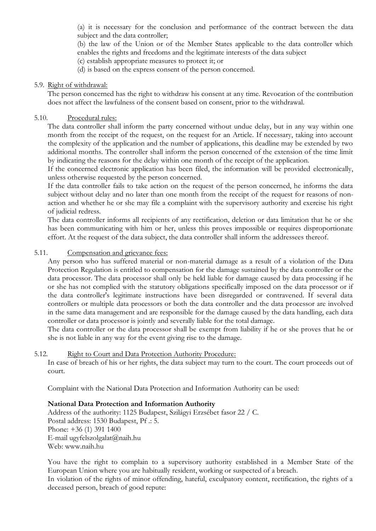(a) it is necessary for the conclusion and performance of the contract between the data subject and the data controller;

(b) the law of the Union or of the Member States applicable to the data controller which enables the rights and freedoms and the legitimate interests of the data subject

(c) establish appropriate measures to protect it; or

(d) is based on the express consent of the person concerned.

## 5.9. Right of withdrawal:

The person concerned has the right to withdraw his consent at any time. Revocation of the contribution does not affect the lawfulness of the consent based on consent, prior to the withdrawal.

## 5.10. Procedural rules:

The data controller shall inform the party concerned without undue delay, but in any way within one month from the receipt of the request, on the request for an Article. If necessary, taking into account the complexity of the application and the number of applications, this deadline may be extended by two additional months. The controller shall inform the person concerned of the extension of the time limit by indicating the reasons for the delay within one month of the receipt of the application.

If the concerned electronic application has been filed, the information will be provided electronically, unless otherwise requested by the person concerned.

If the data controller fails to take action on the request of the person concerned, he informs the data subject without delay and no later than one month from the receipt of the request for reasons of nonaction and whether he or she may file a complaint with the supervisory authority and exercise his right of judicial redress.

The data controller informs all recipients of any rectification, deletion or data limitation that he or she has been communicating with him or her, unless this proves impossible or requires disproportionate effort. At the request of the data subject, the data controller shall inform the addressees thereof.

## 5.11. Compensation and grievance fees:

Any person who has suffered material or non-material damage as a result of a violation of the Data Protection Regulation is entitled to compensation for the damage sustained by the data controller or the data processor. The data processor shall only be held liable for damage caused by data processing if he or she has not complied with the statutory obligations specifically imposed on the data processor or if the data controller's legitimate instructions have been disregarded or contravened. If several data controllers or multiple data processors or both the data controller and the data processor are involved in the same data management and are responsible for the damage caused by the data handling, each data controller or data processor is jointly and severally liable for the total damage.

The data controller or the data processor shall be exempt from liability if he or she proves that he or she is not liable in any way for the event giving rise to the damage.

## 5.12. Right to Court and Data Protection Authority Procedure:

In case of breach of his or her rights, the data subject may turn to the court. The court proceeds out of court.

Complaint with the National Data Protection and Information Authority can be used:

## **National Data Protection and Information Authority**

Address of the authority: 1125 Budapest, Szilágyi Erzsébet fasor 22 / C. Postal address: 1530 Budapest, Pf .: 5. Phone: +36 (1) 391 1400 E-mail ugyfelszolgalat@naih.hu Web: www.naih.hu

You have the right to complain to a supervisory authority established in a Member State of the European Union where you are habitually resident, working or suspected of a breach.

In violation of the rights of minor offending, hateful, exculpatory content, rectification, the rights of a deceased person, breach of good repute: